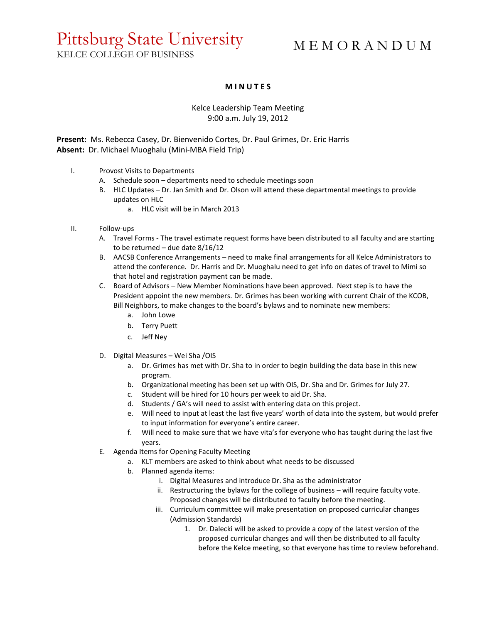## Pittsburg State University

M E M O R A N D U M

KELCE COLLEGE OF BUSINESS

## **M I N U T E S**

## Kelce Leadership Team Meeting 9:00 a.m. July 19, 2012

**Present:** Ms. Rebecca Casey, Dr. Bienvenido Cortes, Dr. Paul Grimes, Dr. Eric Harris **Absent:** Dr. Michael Muoghalu (Mini-MBA Field Trip)

- I. Provost Visits to Departments
	- A. Schedule soon departments need to schedule meetings soon
	- B. HLC Updates Dr. Jan Smith and Dr. Olson will attend these departmental meetings to provide updates on HLC
		- a. HLC visit will be in March 2013
- II. Follow-ups
	- A. Travel Forms The travel estimate request forms have been distributed to all faculty and are starting to be returned – due date  $8/16/12$
	- B. AACSB Conference Arrangements need to make final arrangements for all Kelce Administrators to attend the conference. Dr. Harris and Dr. Muoghalu need to get info on dates of travel to Mimi so that hotel and registration payment can be made.
	- C. Board of Advisors New Member Nominations have been approved. Next step is to have the President appoint the new members. Dr. Grimes has been working with current Chair of the KCOB, Bill Neighbors, to make changes to the board's bylaws and to nominate new members:
		- a. John Lowe
		- b. Terry Puett
		- c. Jeff Ney
	- D. Digital Measures Wei Sha /OIS
		- a. Dr. Grimes has met with Dr. Sha to in order to begin building the data base in this new program.
		- b. Organizational meeting has been set up with OIS, Dr. Sha and Dr. Grimes for July 27.
		- c. Student will be hired for 10 hours per week to aid Dr. Sha.
		- d. Students / GA's will need to assist with entering data on this project.
		- e. Will need to input at least the last five years' worth of data into the system, but would prefer to input information for everyone's entire career.
		- f. Will need to make sure that we have vita's for everyone who has taught during the last five years.
	- E. Agenda Items for Opening Faculty Meeting
		- a. KLT members are asked to think about what needs to be discussed
		- b. Planned agenda items:
			- i. Digital Measures and introduce Dr. Sha as the administrator
			- ii. Restructuring the bylaws for the college of business will require faculty vote. Proposed changes will be distributed to faculty before the meeting.
			- iii. Curriculum committee will make presentation on proposed curricular changes (Admission Standards)
				- 1. Dr. Dalecki will be asked to provide a copy of the latest version of the proposed curricular changes and will then be distributed to all faculty before the Kelce meeting, so that everyone has time to review beforehand.